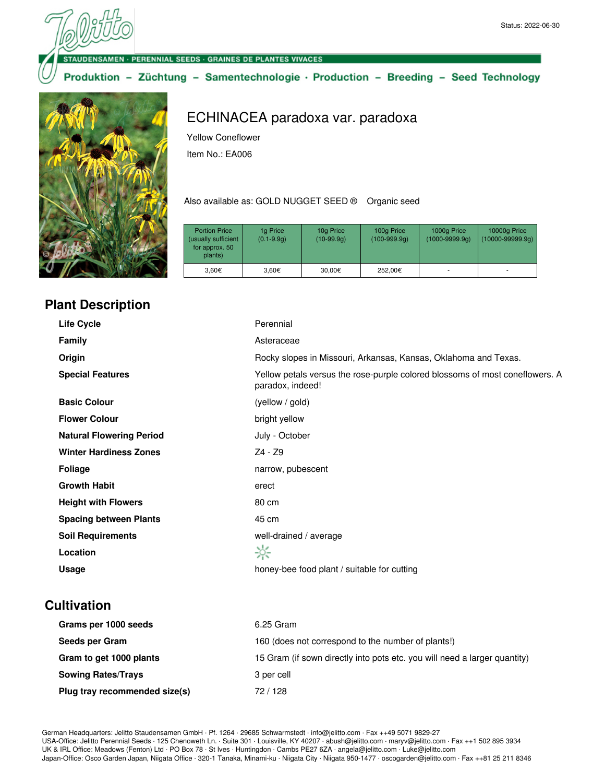**VSAMEN · PERENNIAL SEEDS · GRAINES DE PLANTES VIVACES** 

Produktion - Züchtung - Samentechnologie · Production - Breeding - Seed Technology



# **Plant Description**

ECHINACEA paradoxa var. paradoxa

Yellow Coneflower

Item No.: EA006

Also available as: GOLD NUGGET SEED ® Organic seed

| <b>Portion Price</b><br>(usually sufficient<br>for approx. 50<br>plants) | 1g Price<br>$(0.1 - 9.9q)$ | 10g Price<br>$(10-99.9q)$ | 100g Price<br>$(100-999.9q)$ | 1000g Price<br>$(1000 - 9999.9q)$ | 10000g Price<br>$(10000 - 99999.9q)$ |
|--------------------------------------------------------------------------|----------------------------|---------------------------|------------------------------|-----------------------------------|--------------------------------------|
| 3.60€                                                                    | 3,60€                      | 30,00€                    | 252.00€                      |                                   | ۰                                    |

| Life Cycle                      | Perennial                                                                                        |
|---------------------------------|--------------------------------------------------------------------------------------------------|
| Family                          | Asteraceae                                                                                       |
| Origin                          | Rocky slopes in Missouri, Arkansas, Kansas, Oklahoma and Texas.                                  |
| <b>Special Features</b>         | Yellow petals versus the rose-purple colored blossoms of most coneflowers. A<br>paradox, indeed! |
| <b>Basic Colour</b>             | (yellow / gold)                                                                                  |
| <b>Flower Colour</b>            | bright yellow                                                                                    |
| <b>Natural Flowering Period</b> | July - October                                                                                   |
| <b>Winter Hardiness Zones</b>   | Z4 - Z9                                                                                          |
| <b>Foliage</b>                  | narrow, pubescent                                                                                |
| <b>Growth Habit</b>             | erect                                                                                            |
| <b>Height with Flowers</b>      | 80 cm                                                                                            |
| <b>Spacing between Plants</b>   | 45 cm                                                                                            |
| <b>Soil Requirements</b>        | well-drained / average                                                                           |
| Location                        | ☆                                                                                                |
| <b>Usage</b>                    | honey-bee food plant / suitable for cutting                                                      |

### **Cultivation**

| Grams per 1000 seeds          | 6.25 Gram                                                                 |
|-------------------------------|---------------------------------------------------------------------------|
| Seeds per Gram                | 160 (does not correspond to the number of plants!)                        |
| Gram to get 1000 plants       | 15 Gram (if sown directly into pots etc. you will need a larger quantity) |
| <b>Sowing Rates/Trays</b>     | 3 per cell                                                                |
| Plug tray recommended size(s) | 72/128                                                                    |